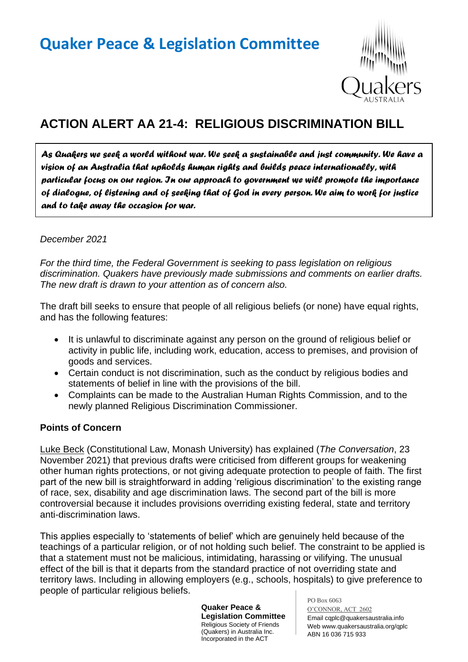# **Quaker Peace & Legislation Committee**



# **ACTION ALERT AA 21-4: RELIGIOUS DISCRIMINATION BILL**

*As Quakers we seek a world without war. We seek a sustainable and just community. We have a vision of an Australia that upholds human rights and builds peace internationally, with particular focus on our region. In our approach to government we will promote the importance of dialogue, of listening and of seeking that of God in every person. We aim to work for justice and to take away the occasion for war.* 

## *December 2021*

*For the third time, the Federal Government is seeking to pass legislation on religious discrimination. Quakers have previously made submissions and comments on earlier drafts. The new draft is drawn to your attention as of concern also.*

The draft bill seeks to ensure that people of all religious beliefs (or none) have equal rights, and has the following features:

- It is unlawful to discriminate against any person on the ground of religious belief or activity in public life, including work, education, access to premises, and provision of goods and services.
- Certain conduct is not discrimination, such as the conduct by religious bodies and statements of belief in line with the provisions of the bill.
- Complaints can be made to the Australian Human Rights Commission, and to the newly planned Religious Discrimination Commissioner.

#### **Points of Concern**

Luke Beck (Constitutional Law, Monash University) has explained (*The Conversation*, 23 November 2021) that previous drafts were criticised from different groups for weakening other human rights protections, or not giving adequate protection to people of faith. The first part of the new bill is straightforward in adding 'religious discrimination' to the existing range of race, sex, disability and age discrimination laws. The second part of the bill is more controversial because it includes provisions overriding existing federal, state and territory anti-discrimination laws.

This applies especially to 'statements of belief' which are genuinely held because of the teachings of a particular religion, or of not holding such belief. The constraint to be applied is that a statement must not be malicious, intimidating, harassing or vilifying. The unusual effect of the bill is that it departs from the standard practice of not overriding state and territory laws. Including in allowing employers (e.g., schools, hospitals) to give preference to people of particular religious beliefs.

> **Quaker Peace & Legislation Committee** Religious Society of Friends (Quakers) in Australia Inc. Incorporated in the ACT

PO Box 6063

O'CONNOR, ACT 2602 Email cqplc@quakersaustralia.info Web www.quakersaustralia.org/qplc ABN 16 036 715 933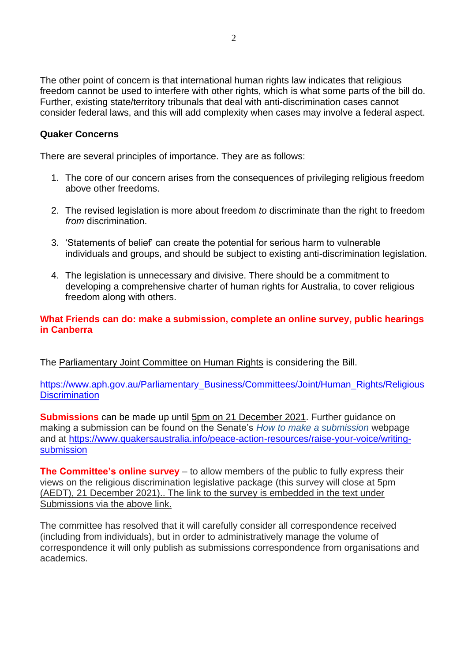The other point of concern is that international human rights law indicates that religious freedom cannot be used to interfere with other rights, which is what some parts of the bill do. Further, existing state/territory tribunals that deal with anti-discrimination cases cannot consider federal laws, and this will add complexity when cases may involve a federal aspect.

#### **Quaker Concerns**

There are several principles of importance. They are as follows:

- 1. The core of our concern arises from the consequences of privileging religious freedom above other freedoms.
- 2. The revised legislation is more about freedom *to* discriminate than the right to freedom *from* discrimination.
- 3. 'Statements of belief' can create the potential for serious harm to vulnerable individuals and groups, and should be subject to existing anti-discrimination legislation.
- 4. The legislation is unnecessary and divisive. There should be a commitment to developing a comprehensive charter of human rights for Australia, to cover religious freedom along with others.

## **What Friends can do: make a submission, complete an online survey, public hearings in Canberra**

The Parliamentary Joint Committee on Human Rights is considering the Bill.

[https://www.aph.gov.au/Parliamentary\\_Business/Committees/Joint/Human\\_Rights/Religious](https://www.aph.gov.au/Parliamentary_Business/Committees/Joint/Human_Rights/ReligiousDiscrimination) **[Discrimination](https://www.aph.gov.au/Parliamentary_Business/Committees/Joint/Human_Rights/ReligiousDiscrimination)** 

**Submissions** can be made up until 5pm on 21 December 2021. Further guidance on making a submission can be found on the Senate's *[How to make a submission](https://www.aph.gov.au/Parliamentary_Business/Committees/Senate/Making_a_submission)* webpage and at [https://www.quakersaustralia.info/peace-action-resources/raise-your-voice/writing](https://www.quakersaustralia.info/peace-action-resources/raise-your-voice/writing-submission)[submission](https://www.quakersaustralia.info/peace-action-resources/raise-your-voice/writing-submission)

**The Committee's [online survey](https://www.surveymonkey.com/r/ReligiousDiscrimination)** – to allow members of the public to fully express their views on the religious discrimination legislative package (this survey will close at 5pm (AEDT), 21 December 2021).. The link to the survey is embedded in the text under Submissions via the above link.

The committee has resolved that it will carefully consider all correspondence received (including from individuals), but in order to administratively manage the volume of correspondence it will only publish as submissions correspondence from organisations and academics.